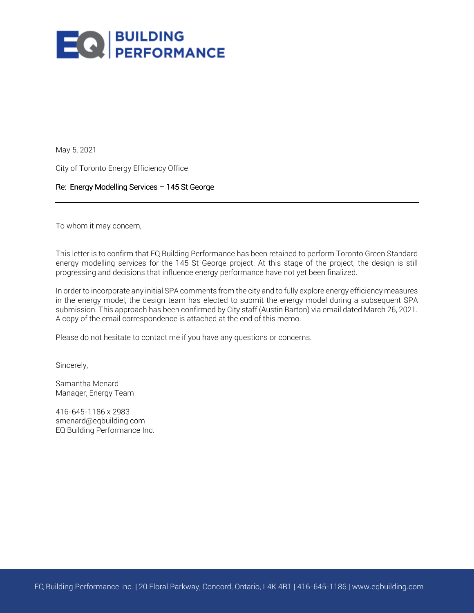

May 5, 2021

City of Toronto Energy Efficiency Office

# Re: Energy Modelling Services - 145 St George

To whom it may concern,

This letter is to confirm that EQ Building Performance has been retained to perform Toronto Green Standard energy modelling services for the 145 St George project. At this stage of the project, the design is still progressing and decisions that influence energy performance have not yet been finalized.

In order to incorporate any initial SPA comments from the city and to fully explore energy efficiency measures in the energy model, the design team has elected to submit the energy model during a subsequent SPA submission. This approach has been confirmed by City staff (Austin Barton) via email dated March 26, 2021. A copy of the email correspondence is attached at the end of this memo.

Please do not hesitate to contact me if you have any questions or concerns.

Sincerely,

Samantha Menard Manager, Energy Team

416-645-1186 x 2983 smenard@eqbuilding.com EQ Building Performance Inc.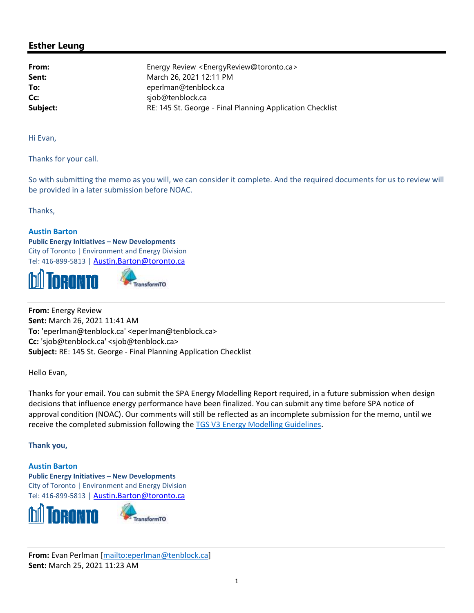# **Esther Leung**

From: Energy Review <EnergyReview@toronto.ca> March 26, 2021 12:11 PM Sent: To: eperlman@tenblock.ca Cc: sjob@tenblock.ca RE: 145 St. George - Final Planning Application Checklist Subject:

Hi Evan,

Thanks for your call.

So with submitting the memo as you will, we can consider it complete. And the required documents for us to review will be provided in a later submission before NOAC.

Thanks.

## **Austin Barton**

**Public Energy Initiatives - New Developments** City of Toronto | Environment and Energy Division Tel: 416-899-5813 | Austin.Barton@toronto.ca





From: Energy Review Sent: March 26, 2021 11:41 AM To: 'eperlman@tenblock.ca' <eperlman@tenblock.ca> Cc: 'sjob@tenblock.ca' <sjob@tenblock.ca> Subject: RE: 145 St. George - Final Planning Application Checklist

Hello Evan,

Thanks for your email. You can submit the SPA Energy Modelling Report required, in a future submission when design decisions that influence energy performance have been finalized. You can submit any time before SPA notice of approval condition (NOAC). Our comments will still be reflected as an incomplete submission for the memo, until we receive the completed submission following the TGS V3 Energy Modelling Guidelines.

#### Thank you,

**Austin Barton Public Energy Initiatives - New Developments** City of Toronto | Environment and Energy Division Tel: 416-899-5813 | Austin. Barton@toronto.ca



From: Evan Perlman [mailto:eperlman@tenblock.ca] Sent: March 25, 2021 11:23 AM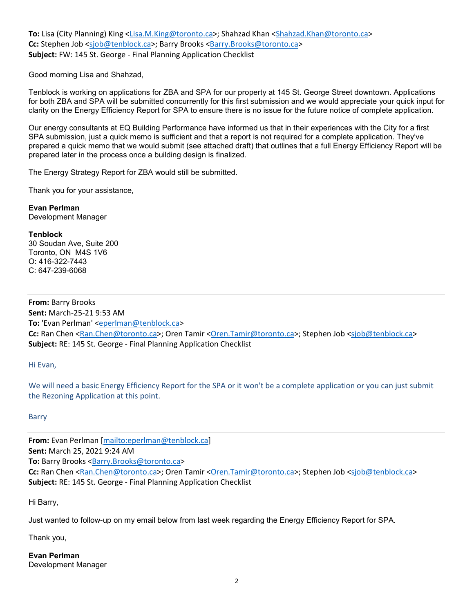To: Lisa (City Planning) King <Lisa.M.King@toronto.ca>; Shahzad Khan <Shahzad.Khan@toronto.ca> Cc: Stephen Job <sjob@tenblock.ca>; Barry Brooks <Barry.Brooks@toronto.ca> Subject: FW: 145 St. George - Final Planning Application Checklist

Good morning Lisa and Shahzad,

Tenblock is working on applications for ZBA and SPA for our property at 145 St. George Street downtown. Applications for both ZBA and SPA will be submitted concurrently for this first submission and we would appreciate your quick input for clarity on the Energy Efficiency Report for SPA to ensure there is no issue for the future notice of complete application.

Our energy consultants at EQ Building Performance have informed us that in their experiences with the City for a first SPA submission, just a quick memo is sufficient and that a report is not required for a complete application. They've prepared a quick memo that we would submit (see attached draft) that outlines that a full Energy Efficiency Report will be prepared later in the process once a building design is finalized.

The Energy Strategy Report for ZBA would still be submitted.

Thank you for your assistance,

**Evan Perlman** Development Manager

#### **Tenblock**

30 Soudan Ave, Suite 200 Toronto, ON M4S 1V6 O: 416-322-7443  $C: 647-239-6068$ 

From: Barry Brooks Sent: March-25-21 9:53 AM To: 'Evan Perlman' <eperlman@tenblock.ca> Cc: Ran Chen <Ran.Chen@toronto.ca>; Oren Tamir <Oren.Tamir@toronto.ca>; Stephen Job <sjob@tenblock.ca> Subject: RE: 145 St. George - Final Planning Application Checklist

# Hi Evan,

We will need a basic Energy Efficiency Report for the SPA or it won't be a complete application or you can just submit the Rezoning Application at this point.

#### **Barry**

From: Evan Perlman [mailto:eperlman@tenblock.ca] Sent: March 25, 2021 9:24 AM To: Barry Brooks <Barry.Brooks@toronto.ca> Cc: Ran Chen <Ran.Chen@toronto.ca>; Oren Tamir <Oren.Tamir@toronto.ca>; Stephen Job <sjob@tenblock.ca> Subject: RE: 145 St. George - Final Planning Application Checklist

Hi Barry,

Just wanted to follow-up on my email below from last week regarding the Energy Efficiency Report for SPA.

Thank you,

**Evan Perlman Development Manager**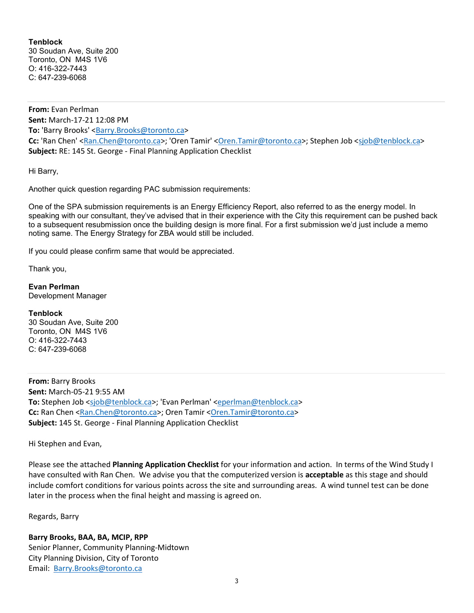## **Tenblock**

30 Soudan Ave. Suite 200 Toronto, ON M4S 1V6 O: 416-322-7443 C: 647-239-6068

From: Evan Perlman Sent: March-17-21 12:08 PM To: 'Barry Brooks' <Barry.Brooks@toronto.ca> Cc: 'Ran Chen' <Ran.Chen@toronto.ca>; 'Oren Tamir' <Oren.Tamir@toronto.ca>; Stephen Job <sjob@tenblock.ca> Subject: RE: 145 St. George - Final Planning Application Checklist

Hi Barry,

Another quick question regarding PAC submission requirements:

One of the SPA submission requirements is an Energy Efficiency Report, also referred to as the energy model. In speaking with our consultant, they've advised that in their experience with the City this requirement can be pushed back to a subsequent resubmission once the building design is more final. For a first submission we'd just include a memo noting same. The Energy Strategy for ZBA would still be included.

If you could please confirm same that would be appreciated.

Thank you,

**Evan Perlman** Development Manager

#### **Tenblock**

30 Soudan Ave, Suite 200 Toronto, ON M4S 1V6 O: 416-322-7443 C: 647-239-6068

From: Barry Brooks Sent: March-05-21 9:55 AM To: Stephen Job <sjob@tenblock.ca>; 'Evan Perlman' <eperlman@tenblock.ca> Cc: Ran Chen <Ran.Chen@toronto.ca>; Oren Tamir <Oren.Tamir@toronto.ca> **Subject: 145 St. George - Final Planning Application Checklist** 

Hi Stephen and Evan,

Please see the attached Planning Application Checklist for your information and action. In terms of the Wind Study I have consulted with Ran Chen. We advise you that the computerized version is **acceptable** as this stage and should include comfort conditions for various points across the site and surrounding areas. A wind tunnel test can be done later in the process when the final height and massing is agreed on.

Regards, Barry

Barry Brooks, BAA, BA, MCIP, RPP Senior Planner, Community Planning-Midtown City Planning Division, City of Toronto Email: Barry.Brooks@toronto.ca